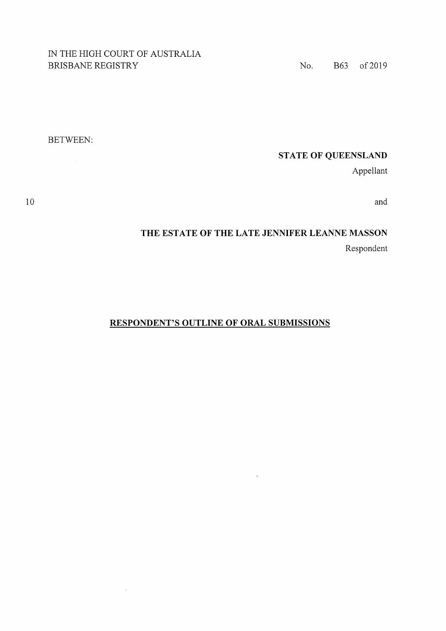### IN THE HIGH COURT OF AUSTRALIA BRISBANE REGISTRY No. B63 of 2019

BETWEEN:

## **STATE OF QUEENSLAND**

Appellant

and

# **THE ESTATE OF THE LATE JENNIFER LEANNE MASSON**  Respondent

 $\bar{a}$ 

### **RESPONDENT'S OUTLINE OF ORAL SUBMISSIONS**

10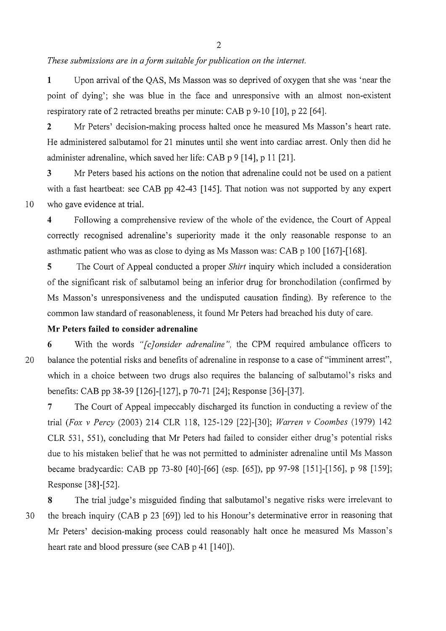*These submissions are in a form suitable for publication on the internet.* 

**1** Upon arrival of the QAS, Ms Masson was so deprived of oxygen that she was 'near the point of dying'; she was blue in the face and unresponsive with an almost non-existent respiratory rate of 2 retracted breaths per minute: CAB p 9-10 [10], p 22 [64].

**<sup>2</sup>**Mr Peters' decision-making process halted once he measured Ms Masson's heart rate. He administered salbutamol for 21 minutes until she went into cardiac arrest. Only then did he administer adrenaline, which saved her life: CAB p 9 [14], p 11 [21].

**3** Mr Peters based his actions on the notion that adrenaline could not be used on a patient with a fast heartbeat: see CAB pp 42-43 [145]. That notion was not supported by any expert 10 who gave evidence at trial.

**<sup>4</sup>**Following a comprehensive review of the whole of the evidence, the Court of Appeal correctly recognised adrenaline's superiority made it the only reasonable response to an asthmatic patient who was as close to dying as Ms Masson was: CAB p 100 [167]-[168].

**5** The Court of Appeal conducted a proper *Shirt* inquiry which included a consideration of the significant risk of salbutamol being an inferior drug for bronchodilation ( confirmed by Ms Masson's unresponsiveness and the undisputed causation finding). By reference to the common law standard of reasonableness, it found Mr Peters had breached his duty of care.

### **Mr Peters failed to consider adrenaline**

**<sup>6</sup>**With the words *"[c]onsider adrenaline",* the CPM required ambulance officers to 20 balance the potential risks and benefits of adrenaline in response to a case of "imminent arrest", which in a choice between two drugs also requires the balancing of salbutamol's risks and benefits: CAB pp 38-39 [126]-[127], p 70-71 [24]; Response [36]-[37].

7 The Court of Appeal impeccably discharged its function in conducting a review of the trial *(Fox v Percy* (2003) 214 CLR 118, 125-129 [22]-[30]; *Warren v Coombes* (1979) 142 CLR 531, 551), concluding that Mr Peters had failed to consider either drug's potential risks due to his mistaken belief that he was not permitted to administer adrenaline until Ms Masson became bradycardic: CAB pp 73-80 [40]-[66] (esp. [65]), pp 97-98 [151]-[156], p 98 [159]; Response [38]-[52].

**<sup>8</sup>**The trial judge's misguided finding that salbutamol's negative risks were irrelevant to 30 the breach inquiry (CAB p 23 [69]) led to his Honour's determinative error in reasoning that Mr Peters' decision-making process could reasonably halt once he measured Ms Masson's heart rate and blood pressure (see CAB p 41 [140]).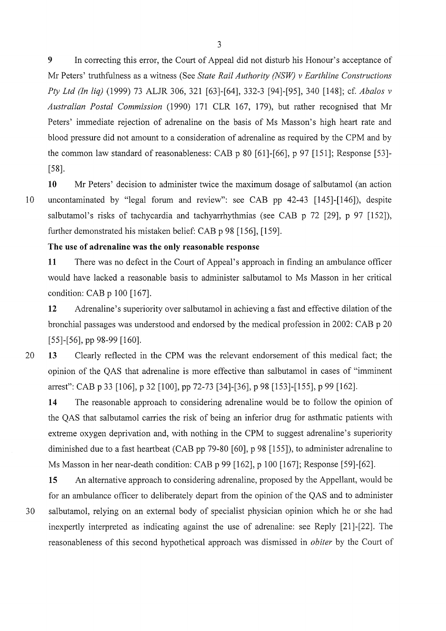**9** In correcting this error, the Court of Appeal did not disturb his Honour's acceptance of Mr Peters' truthfulness as a witness (See *State Rail Authority (NSW) v Earthline Constructions Pty Ltd (In liq)* (1999) 73 ALJR 306, 321 [63]-[64], 332-3 [94]-[95], 340 [148]; cf. *Abalos v Australian Postal Commission* (1990) 171 CLR 167, 179), but rather recognised that Mr Peters' immediate rejection of adrenaline on the basis of Ms Masson's high heart rate and blood pressure did not amount to a consideration of adrenaline as required by the CPM and by the common law standard of reasonableness: CAB p 80 [61]-[66], p 97 [151]; Response [53]- [58].

10 Mr Peters' decision to administer twice the maximum dosage of salbutamol (an action 10 uncontaminated by "legal forum and review": see CAB pp 42-43 [145]-[146]), despite salbutamol's risks of tachycardia and tachyarrhythmias (see CAB p 72 [29], p 97 [152]), further demonstrated his mistaken belief: CAB p 98 [156], [159].

#### **The use of adrenaline was the only reasonable response**

**11** There was no defect in the Court of Appeal's approach in finding an ambulance officer would have lacked a reasonable basis to administer salbutamol to Ms Masson in her critical condition: CAB p 100 [167].

**12** Adrenaline's superiority over salbutamol in achieving a fast and effective dilation of the bronchial passages was understood and endorsed by the medical profession in 2002: CAB p 20 [55]-[56], pp 98-99 [160].

20 **13** Clearly reflected in the CPM was the relevant endorsement of this medical fact; the opinion of the QAS that adrenaline is more effective than salbutamol in cases of "imminent arrest": CAB p 33 [106], p 32 [100], pp 72-73 [34]-[36], p 98 [153]-[155], p 99 [162].

**14** The reasonable approach to considering adrenaline would be to follow the opinion of the QAS that salbutamol carries the risk of being an inferior drug for asthmatic patients with extreme oxygen deprivation and, with nothing in the CPM to suggest adrenaline's superiority diminished due to a fast heartbeat (CAB pp 79-80 [60], p 98 [155]), to administer adrenaline to Ms Masson in her near-death condition: CAB p 99 [162], p 100 [167]; Response [59]-[62].

**15** An alternative approach to considering adrenaline, proposed by the Appellant, would be for an ambulance officer to deliberately depart from the opinion of the QAS and to administer 30 salbutamol, relying on an external body of specialist physician opinion which he or she had inexpertly interpreted as indicating against the use of adrenaline: see Reply [21]-[22]. The reasonableness of this second hypothetical approach was dismissed in *obiter* by the Court of